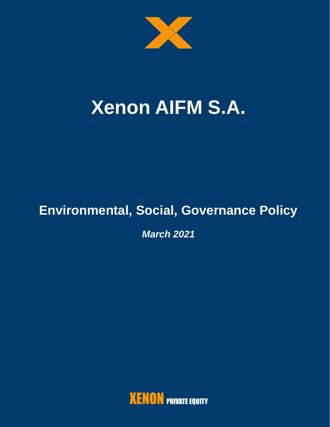

# **Xenon AIFM S.A.**

# **Environmental, Social, Governance Policy**

*March 2021*

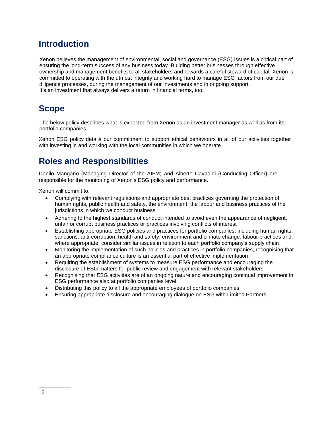# **Introduction**

Xenon believes the management of environmental, social and governance (ESG) issues is a critical part of ensuring the long-term success of any business today. Building better businesses through effective ownership and management benefits to all stakeholders and rewards a careful steward of capital, Xenon is committed to operating with the utmost integrity and working hard to manage ESG factors from our due diligence processes, during the management of our investments and in ongoing support. It's an investment that always delivers a return in financial terms, too.

# **Scope**

The below policy describes what is expected from Xenon as an investment manager as well as from its portfolio companies.

Xenon ESG policy details our commitment to support ethical behaviours in all of our activities together with investing in and working with the local communities in which we operate.

# **Roles and Responsibilities**

Danilo Mangano (Managing Director of the AIFM) and Alberto Cavadini (Conducting Officer) are responsible for the monitoring of Xenon's ESG policy and performance.

Xenon will commit to:

- Complying with relevant regulations and appropriate best practices governing the protection of human rights, public health and safety, the environment, the labour and business practices of the jurisdictions in which we conduct business
- Adhering to the highest standards of conduct intended to avoid even the appearance of negligent, unfair or corrupt business practices or practices involving conflicts of interest
- Establishing appropriate ESG policies and practices for portfolio companies, including human rights, sanctions, anti-corruption, health and safety, environment and climate change, labour practices and, where appropriate, consider similar issues in relation to each portfolio company's supply chain
- Monitoring the implementation of such policies and practices in portfolio companies, recognising that an appropriate compliance culture is an essential part of effective implementation
- Requiring the establishment of systems to measure ESG performance and encouraging the disclosure of ESG matters for public review and engagement with relevant stakeholders
- Recognising that ESG activities are of an ongoing nature and encouraging continual improvement in ESG performance also at portfolio companies level
- Distributing this policy to all the appropriate employees of portfolio companies
- Ensuring appropriate disclosure and encouraging dialogue on ESG with Limited Partners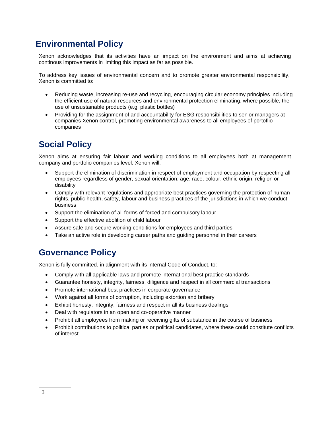# **Environmental Policy**

Xenon acknowledges that its activities have an impact on the environment and aims at achieving continous improvements in limiting this impact as far as possible.

To address key issues of environmental concern and to promote greater environmental responsibility, Xenon is committed to:

- Reducing waste, increasing re-use and recycling, encouraging circular economy principles including the efficient use of natural resources and environmental protection eliminating, where possible, the use of unsustainable products (e.g. plastic bottles)
- Providing for the assignment of and accountability for ESG responsibilities to senior managers at companies Xenon control, promoting environmental awareness to all employees of portoflio companies

# **Social Policy**

Xenon aims at ensuring fair labour and working conditions to all employees both at management company and portfolio companies level. Xenon will:

- Support the elimination of discrimination in respect of employment and occupation by respecting all employees regardless of gender, sexual orientation, age, race, colour, ethnic origin, religion or disability
- Comply with relevant regulations and appropriate best practices governing the protection of human rights, public health, safety, labour and business practices of the jurisdictions in which we conduct business
- Support the elimination of all forms of forced and compulsory labour
- Support the effective abolition of child labour
- Assure safe and secure working conditions for employees and third parties
- Take an active role in developing career paths and guiding personnel in their careers

#### **Governance Policy**

Xenon is fully committed, in alignment with its internal Code of Conduct, to:

- Comply with all applicable laws and promote international best practice standards
- Guarantee honesty, integrity, fairness, diligence and respect in all commercial transactions
- Promote international best practices in corporate governance
- Work against all forms of corruption, including extortion and bribery
- Exhibit honesty, integrity, fairness and respect in all its business dealings
- Deal with regulators in an open and co-operative manner
- Prohibit all employees from making or receiving gifts of substance in the course of business
- Prohibit contributions to political parties or political candidates, where these could constitute conflicts of interest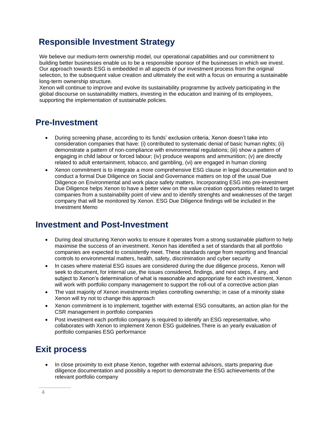## **Responsible Investment Strategy**

We believe our medium-term ownership model, our operational capabilities and our commitment to building better businesses enable us to be a responsible sponsor of the businesses in which we invest. Our approach towards ESG is embedded in all aspects of our investment process from the original selection, to the subsequent value creation and ultimately the exit with a focus on ensuring a sustainable long-term ownership structure.

Xenon will continue to improve and evolve its sustainability programme by actively participating in the global discourse on sustainability matters, investing in the education and training of its employees, supporting the implementation of sustainable policies.

#### **Pre-Investment**

- During screening phase, according to its funds' exclusion criteria, Xenon doesn't take into consideration companies that have: (i) contributed to systematic denial of basic human rights; (ii) demonstrate a pattern of non-compliance with environmental regulations; (iii) show a pattern of engaging in child labour or forced labour; (iv) produce weapons and ammunition; (v) are directly related to adult entertainment, tobacco, and gambling, (vi) are engaged in human cloning
- Xenon commitment is to integrate a more comprehensive ESG clause in legal documentation and to conduct a formal Due Diligence on Social and Governance matters on top of the usual Due Diligence on Environmental and work place safety matters. Incorporating ESG into pre-investment Due Diligence helps Xenon to have a better view on the value creation opportunities related to target companies from a sustainability point of view and to identify strenghts and weaknesses of the target company that will be monitored by Xenon. ESG Due Diligence findings will be included in the Investment Memo

#### **Investment and Post-Investment**

- During deal structuring Xenon works to ensure it operates from a strong sustainable platform to help maximise the success of an investment. Xenon has identified a set of standards that all portfolio companies are expected to consistently meet. These standards range from reporting and financial controls to environmental matters, health, safety, discrimination and cyber security
- In cases where material ESG issues are considered during the due diligence process, Xenon will seek to document, for internal use, the issues considered, findings, and next steps, if any, and subject to Xenon's determination of what is reasonable and appropriate for each investment, Xenon will work with portfolio company management to support the roll-out of a corrective action plan
- The vast majority of Xenon investments implies controlling ownership; in case of a minority stake Xenon will try not to change this approach
- Xenon commitment is to implement, together with external ESG consultants, an action plan for the CSR management in portfolio companies
- Post investment each portfolio company is required to identify an ESG representative, who collaborates with Xenon to implement Xenon ESG guidelines.There is an yearly evaluation of portfolio companies ESG performance

# **Exit process**

• In close proximity to exit phase Xenon, together with external advisors, starts preparing due diligence documentation and possibliy a report to demonstrate the ESG achievements of the relevant portfolio company